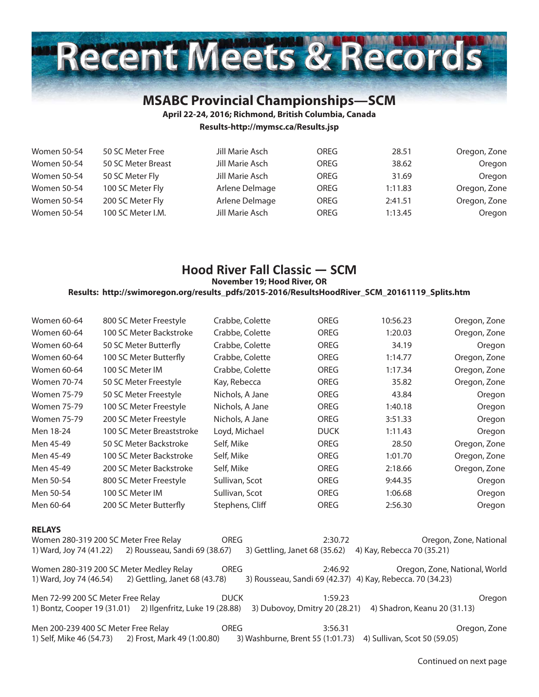

# **MSABC Provincial Championships—SCM**

**April 22-24, 2016; Richmond, British Columbia, Canada**

**Results-http://mymsc.ca/Results.jsp**

| <b>Women 50-54</b> | 50 SC Meter Free   | Jill Marie Asch | OREG | 28.51   | Oregon, Zone |
|--------------------|--------------------|-----------------|------|---------|--------------|
| <b>Women 50-54</b> | 50 SC Meter Breast | Jill Marie Asch | OREG | 38.62   | Oregon       |
| <b>Women 50-54</b> | 50 SC Meter Fly    | Jill Marie Asch | OREG | 31.69   | Oregon       |
| <b>Women 50-54</b> | 100 SC Meter Fly   | Arlene Delmage  | OREG | 1:11.83 | Oregon, Zone |
| <b>Women 50-54</b> | 200 SC Meter Fly   | Arlene Delmage  | OREG | 2:41.51 | Oregon, Zone |
| <b>Women 50-54</b> | 100 SC Meter I.M.  | Jill Marie Asch | OREG | 1:13.45 | Oregon       |

# **Hood River Fall Classic — SCM**

**November 19; Hood River, OR**

**Results: http://swimoregon.org/results\_pdfs/2015-2016/ResultsHoodRiver\_SCM\_20161119\_Splits.htm**

| Women 60-64                 | 800 SC Meter Freestyle                  | Crabbe, Colette | OREG                                                      | 10:56.23                     | Oregon, Zone                  |
|-----------------------------|-----------------------------------------|-----------------|-----------------------------------------------------------|------------------------------|-------------------------------|
| <b>Women 60-64</b>          | 100 SC Meter Backstroke                 | Crabbe, Colette | <b>OREG</b>                                               | 1:20.03                      | Oregon, Zone                  |
| Women 60-64                 | 50 SC Meter Butterfly                   | Crabbe, Colette | OREG                                                      | 34.19                        | Oregon                        |
| Women 60-64                 | 100 SC Meter Butterfly                  | Crabbe, Colette | OREG                                                      | 1:14.77                      | Oregon, Zone                  |
| Women 60-64                 | 100 SC Meter IM                         | Crabbe, Colette | <b>OREG</b>                                               | 1:17.34                      | Oregon, Zone                  |
| Women 70-74                 | 50 SC Meter Freestyle                   | Kay, Rebecca    | OREG                                                      | 35.82                        | Oregon, Zone                  |
| <b>Women 75-79</b>          | 50 SC Meter Freestyle                   | Nichols, A Jane | OREG                                                      | 43.84                        | Oregon                        |
| <b>Women 75-79</b>          | 100 SC Meter Freestyle                  | Nichols, A Jane | OREG                                                      | 1:40.18                      | Oregon                        |
| <b>Women 75-79</b>          | 200 SC Meter Freestyle                  | Nichols, A Jane | OREG                                                      | 3:51.33                      | Oregon                        |
| Men 18-24                   | 100 SC Meter Breaststroke               | Loyd, Michael   | <b>DUCK</b>                                               | 1:11.43                      | Oregon                        |
| Men 45-49                   | 50 SC Meter Backstroke                  | Self, Mike      | OREG                                                      | 28.50                        | Oregon, Zone                  |
| Men 45-49                   | 100 SC Meter Backstroke                 | Self, Mike      | <b>OREG</b>                                               | 1:01.70                      | Oregon, Zone                  |
| Men 45-49                   | 200 SC Meter Backstroke                 | Self, Mike      | OREG                                                      | 2:18.66                      | Oregon, Zone                  |
| Men 50-54                   | 800 SC Meter Freestyle                  | Sullivan, Scot  | OREG                                                      | 9:44.35                      | Oregon                        |
| Men 50-54                   | 100 SC Meter IM                         | Sullivan, Scot  | OREG                                                      | 1:06.68                      | Oregon                        |
| Men 60-64                   | 200 SC Meter Butterfly                  | Stephens, Cliff | OREG                                                      | 2:56.30                      | Oregon                        |
| <b>RELAYS</b>               |                                         |                 |                                                           |                              |                               |
|                             | Women 280-319 200 SC Meter Free Relay   | <b>OREG</b>     | 2:30.72                                                   |                              | Oregon, Zone, National        |
| 1) Ward, Joy 74 (41.22)     | 2) Rousseau, Sandi 69 (38.67)           |                 | 3) Gettling, Janet 68 (35.62)                             | 4) Kay, Rebecca 70 (35.21)   |                               |
|                             | Women 280-319 200 SC Meter Medley Relay | <b>OREG</b>     | 2:46.92                                                   |                              | Oregon, Zone, National, World |
| 1) Ward, Joy 74 (46.54)     | 2) Gettling, Janet 68 (43.78)           |                 | 3) Rousseau, Sandi 69 (42.37) 4) Kay, Rebecca. 70 (34.23) |                              |                               |
|                             | Men 72-99 200 SC Meter Free Relay       | <b>DUCK</b>     | 1:59.23                                                   |                              | Oregon                        |
| 1) Bontz, Cooper 19 (31.01) | 2) Ilgenfritz, Luke 19 (28.88)          |                 | 3) Dubovoy, Dmitry 20 (28.21)                             | 4) Shadron, Keanu 20 (31.13) |                               |
|                             | Men 200-239 400 SC Meter Free Relay     | <b>OREG</b>     | 3:56.31                                                   |                              | Oregon, Zone                  |
| 1) Self, Mike 46 (54.73)    | 2) Frost, Mark 49 (1:00.80)             |                 | 3) Washburne, Brent 55 (1:01.73)                          | 4) Sullivan, Scot 50 (59.05) |                               |